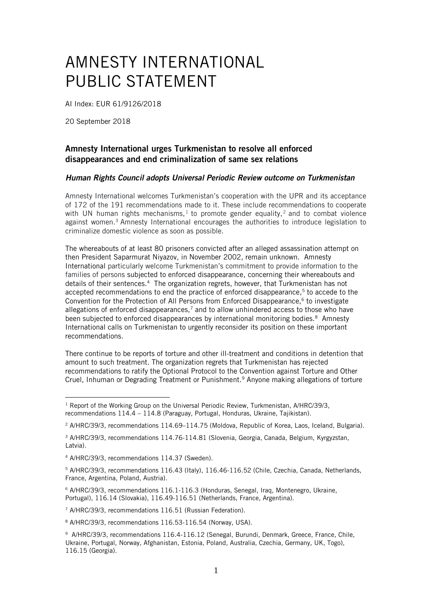## AMNESTY INTERNATIONAL PUBLIC STATEMENT

AI Index: EUR 61/9126/2018

20 September 2018

## Amnesty International urges Turkmenistan to resolve all enforced disappearances and end criminalization of same sex relations

## *Human Rights Council adopts Universal Periodic Review outcome on Turkmenistan*

Amnesty International welcomes Turkmenistan's cooperation with the UPR and its acceptance of 172 of the 191 recommendations made to it. These include recommendations to cooperate with UN human rights mechanisms,<sup>1</sup> to promote gender equality,<sup>2</sup> and to combat violence against women.<sup>3</sup> Amnesty International encourages the authorities to introduce legislation to criminalize domestic violence as soon as possible.

The whereabouts of at least 80 prisoners convicted after an alleged assassination attempt on then President Saparmurat Niyazov, in November 2002, remain unknown. Amnesty International particularly welcome Turkmenistan's commitment to provide information to the families of persons subjected to enforced disappearance, concerning their whereabouts and details of their sentences.<sup>4</sup> The organization regrets, however, that Turkmenistan has not accepted recommendations to end the practice of enforced disappearance,<sup>5</sup> to accede to the Convention for the Protection of All Persons from Enforced Disappearance, $6$  to investigate allegations of enforced disappearances, $7$  and to allow unhindered access to those who have been subjected to enforced disappearances by international monitoring bodies.<sup>8</sup> Amnesty International calls on Turkmenistan to urgently reconsider its position on these important recommendations.

There continue to be reports of torture and other ill-treatment and conditions in detention that amount to such treatment. The organization regrets that Turkmenistan has rejected recommendations to ratify the Optional Protocol to the Convention against Torture and Other Cruel, Inhuman or Degrading Treatment or Punishment.<sup>9</sup> Anyone making allegations of torture

<u>.</u>

<sup>&</sup>lt;sup>1</sup> Report of the Working Group on the Universal Periodic Review, Turkmenistan, A/HRC/39/3, recommendations 114.4 – 114.8 (Paraguay, Portugal, Honduras, Ukraine, Tajikistan).

<sup>2</sup> A/HRC/39/3, recommendations 114.69–114.75 (Moldova, Republic of Korea, Laos, Iceland, Bulgaria).

<sup>3</sup> A/HRC/39/3, recommendations 114.76-114.81 (Slovenia, Georgia, Canada, Belgium, Kyrgyzstan, Latvia).

<sup>4</sup> A/HRC/39/3, recommendations 114.37 (Sweden).

<sup>5</sup> A/HRC/39/3, recommendations 116.43 (Italy), 116.46-116.52 (Chile, Czechia, Canada, Netherlands, France, Argentina, Poland, Austria).

<sup>6</sup> A/HRC/39/3, recommendations 116.1-116.3 (Honduras, Senegal, Iraq, Montenegro, Ukraine, Portugal), 116.14 (Slovakia), 116.49-116.51 (Netherlands, France, Argentina).

<sup>7</sup> A/HRC/39/3, recommendations 116.51 (Russian Federation).

<sup>8</sup> A/HRC/39/3, recommendations 116.53-116.54 (Norway, USA).

<sup>9</sup> A/HRC/39/3, recommendations 116.4-116.12 (Senegal, Burundi, Denmark, Greece, France, Chile, Ukraine, Portugal, Norway, Afghanistan, Estonia, Poland, Australia, Czechia, Germany, UK, Togo), 116.15 (Georgia).